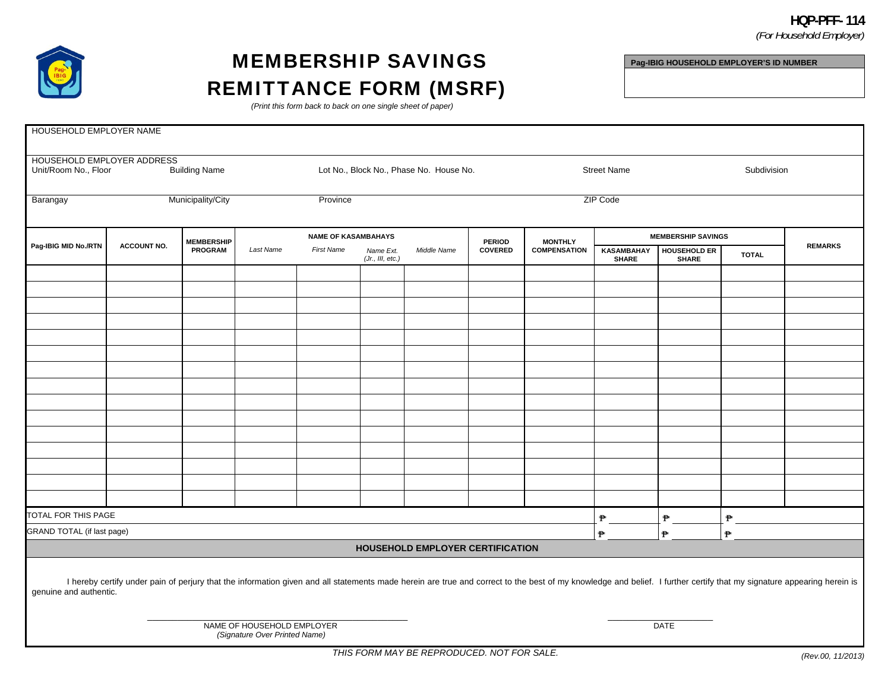## **HQP-PFF- 114**  *(For Household Employer)*



## MEMBERSHIP SAVINGS REMITTANCE FORM (MSRF)

**Pag-IBIG HOUSEHOLD EMPLOYER'S ID NUMBER** 

*(Print this form back to back on one single sheet of paper)* 

| HOUSEHOLD EMPLOYER NAME                                                                                                                                                                                                                         |                    |                                     |                                         |                   |                               |                                  |                          |                                       |                                   |                                     |              |                |
|-------------------------------------------------------------------------------------------------------------------------------------------------------------------------------------------------------------------------------------------------|--------------------|-------------------------------------|-----------------------------------------|-------------------|-------------------------------|----------------------------------|--------------------------|---------------------------------------|-----------------------------------|-------------------------------------|--------------|----------------|
|                                                                                                                                                                                                                                                 |                    |                                     |                                         |                   |                               |                                  |                          |                                       |                                   |                                     |              |                |
| HOUSEHOLD EMPLOYER ADDRESS                                                                                                                                                                                                                      |                    |                                     |                                         |                   |                               |                                  |                          |                                       |                                   |                                     |              |                |
| <b>Building Name</b><br>Unit/Room No., Floor                                                                                                                                                                                                    |                    |                                     | Lot No., Block No., Phase No. House No. |                   |                               |                                  | <b>Street Name</b>       |                                       |                                   |                                     | Subdivision  |                |
| Municipality/City<br>Barangay                                                                                                                                                                                                                   |                    |                                     | Province                                |                   |                               |                                  | ZIP Code                 |                                       |                                   |                                     |              |                |
| Pag-IBIG MID No./RTN                                                                                                                                                                                                                            | <b>ACCOUNT NO.</b> | <b>MEMBERSHIP</b><br><b>PROGRAM</b> | <b>NAME OF KASAMBAHAYS</b>              |                   |                               |                                  |                          |                                       | <b>MEMBERSHIP SAVINGS</b>         |                                     |              |                |
|                                                                                                                                                                                                                                                 |                    |                                     | Last Name                               | <b>First Name</b> | Name Ext.<br>(Jr., III, etc.) | Middle Name                      | <b>PERIOD</b><br>COVERED | <b>MONTHLY</b><br><b>COMPENSATION</b> | <b>KASAMBAHAY</b><br><b>SHARE</b> | <b>HOUSEHOLD ER</b><br><b>SHARE</b> | <b>TOTAL</b> | <b>REMARKS</b> |
|                                                                                                                                                                                                                                                 |                    |                                     |                                         |                   |                               |                                  |                          |                                       |                                   |                                     |              |                |
|                                                                                                                                                                                                                                                 |                    |                                     |                                         |                   |                               |                                  |                          |                                       |                                   |                                     |              |                |
|                                                                                                                                                                                                                                                 |                    |                                     |                                         |                   |                               |                                  |                          |                                       |                                   |                                     |              |                |
|                                                                                                                                                                                                                                                 |                    |                                     |                                         |                   |                               |                                  |                          |                                       |                                   |                                     |              |                |
|                                                                                                                                                                                                                                                 |                    |                                     |                                         |                   |                               |                                  |                          |                                       |                                   |                                     |              |                |
|                                                                                                                                                                                                                                                 |                    |                                     |                                         |                   |                               |                                  |                          |                                       |                                   |                                     |              |                |
|                                                                                                                                                                                                                                                 |                    |                                     |                                         |                   |                               |                                  |                          |                                       |                                   |                                     |              |                |
|                                                                                                                                                                                                                                                 |                    |                                     |                                         |                   |                               |                                  |                          |                                       |                                   |                                     |              |                |
|                                                                                                                                                                                                                                                 |                    |                                     |                                         |                   |                               |                                  |                          |                                       |                                   |                                     |              |                |
|                                                                                                                                                                                                                                                 |                    |                                     |                                         |                   |                               |                                  |                          |                                       |                                   |                                     |              |                |
|                                                                                                                                                                                                                                                 |                    |                                     |                                         |                   |                               |                                  |                          |                                       |                                   |                                     |              |                |
|                                                                                                                                                                                                                                                 |                    |                                     |                                         |                   |                               |                                  |                          |                                       |                                   |                                     |              |                |
|                                                                                                                                                                                                                                                 |                    |                                     |                                         |                   |                               |                                  |                          |                                       |                                   |                                     |              |                |
|                                                                                                                                                                                                                                                 |                    |                                     |                                         |                   |                               |                                  |                          |                                       |                                   |                                     |              |                |
|                                                                                                                                                                                                                                                 |                    |                                     |                                         |                   |                               |                                  |                          |                                       |                                   |                                     |              |                |
| TOTAL FOR THIS PAGE                                                                                                                                                                                                                             |                    |                                     |                                         |                   |                               |                                  | ₱                        | ₱                                     | P                                 |                                     |              |                |
| GRAND TOTAL (if last page)                                                                                                                                                                                                                      |                    |                                     |                                         |                   |                               |                                  | ₱                        | ₱                                     | ₱                                 |                                     |              |                |
|                                                                                                                                                                                                                                                 |                    |                                     |                                         |                   |                               | HOUSEHOLD EMPLOYER CERTIFICATION |                          |                                       |                                   |                                     |              |                |
| I hereby certify under pain of perjury that the information given and all statements made herein are true and correct to the best of my knowledge and belief. I further certify that my signature appearing herein is<br>genuine and authentic. |                    |                                     |                                         |                   |                               |                                  |                          |                                       |                                   |                                     |              |                |
| NAME OF HOUSEHOLD EMPLOYER<br>DATE<br>(Signature Over Printed Name)                                                                                                                                                                             |                    |                                     |                                         |                   |                               |                                  |                          |                                       |                                   |                                     |              |                |